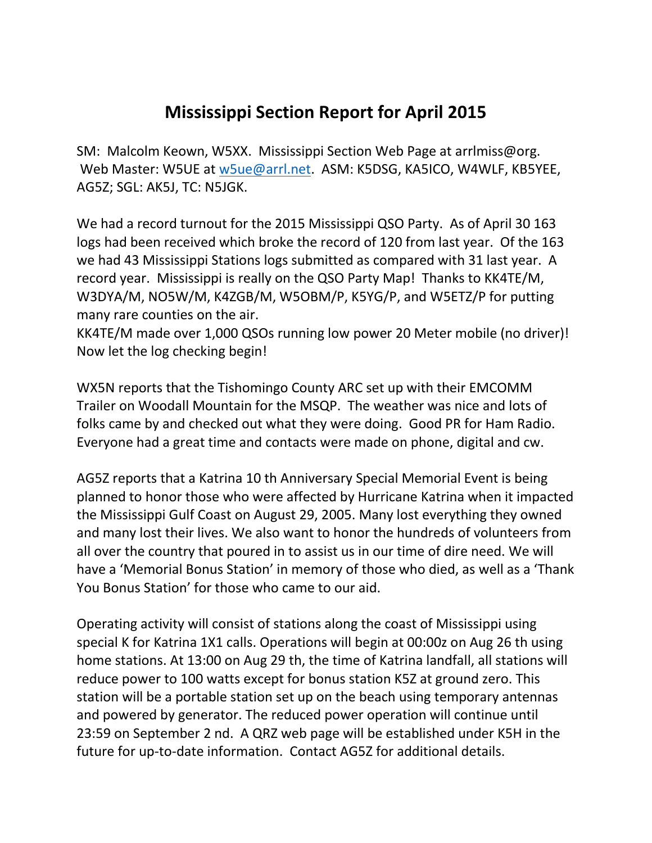## **Mississippi Section Report for April 2015**

SM: Malcolm Keown, W5XX. Mississippi Section Web Page at arrlmiss@org. Web Master: W5UE at [w5ue@arrl.net.](mailto:w5ue@arrl.net) ASM: K5DSG, KA5ICO, W4WLF, KB5YEE, AG5Z; SGL: AK5J, TC: N5JGK.

We had a record turnout for the 2015 Mississippi QSO Party. As of April 30 163 logs had been received which broke the record of 120 from last year. Of the 163 we had 43 Mississippi Stations logs submitted as compared with 31 last year. A record year. Mississippi is really on the QSO Party Map! Thanks to KK4TE/M, W3DYA/M, NO5W/M, K4ZGB/M, W5OBM/P, K5YG/P, and W5ETZ/P for putting many rare counties on the air.

KK4TE/M made over 1,000 QSOs running low power 20 Meter mobile (no driver)! Now let the log checking begin!

WX5N reports that the Tishomingo County ARC set up with their EMCOMM Trailer on Woodall Mountain for the MSQP. The weather was nice and lots of folks came by and checked out what they were doing. Good PR for Ham Radio. Everyone had a great time and contacts were made on phone, digital and cw.

AG5Z reports that a Katrina 10 th Anniversary Special Memorial Event is being planned to honor those who were affected by Hurricane Katrina when it impacted the Mississippi Gulf Coast on August 29, 2005. Many lost everything they owned and many lost their lives. We also want to honor the hundreds of volunteers from all over the country that poured in to assist us in our time of dire need. We will have a 'Memorial Bonus Station' in memory of those who died, as well as a 'Thank You Bonus Station' for those who came to our aid.

Operating activity will consist of stations along the coast of Mississippi using special K for Katrina 1X1 calls. Operations will begin at 00:00z on Aug 26 th using home stations. At 13:00 on Aug 29 th, the time of Katrina landfall, all stations will reduce power to 100 watts except for bonus station K5Z at ground zero. This station will be a portable station set up on the beach using temporary antennas and powered by generator. The reduced power operation will continue until 23:59 on September 2 nd. A QRZ web page will be established under K5H in the future for up-to-date information. Contact AG5Z for additional details.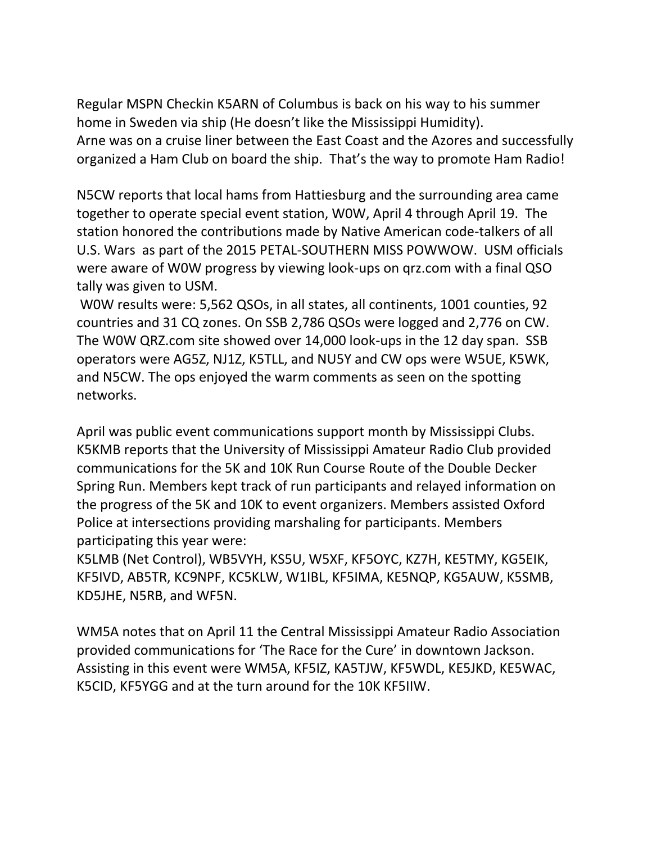Regular MSPN Checkin K5ARN of Columbus is back on his way to his summer home in Sweden via ship (He doesn't like the Mississippi Humidity). Arne was on a cruise liner between the East Coast and the Azores and successfully organized a Ham Club on board the ship. That's the way to promote Ham Radio!

N5CW reports that local hams from Hattiesburg and the surrounding area came together to operate special event station, W0W, April 4 through April 19. The station honored the contributions made by Native American code-talkers of all U.S. Wars as part of the 2015 PETAL-SOUTHERN MISS POWWOW. USM officials were aware of W0W progress by viewing look-ups on qrz.com with a final QSO tally was given to USM.

W0W results were: 5,562 QSOs, in all states, all continents, 1001 counties, 92 countries and 31 CQ zones. On SSB 2,786 QSOs were logged and 2,776 on CW. The W0W QRZ.com site showed over 14,000 look-ups in the 12 day span. SSB operators were AG5Z, NJ1Z, K5TLL, and NU5Y and CW ops were W5UE, K5WK, and N5CW. The ops enjoyed the warm comments as seen on the spotting networks.

April was public event communications support month by Mississippi Clubs. K5KMB reports that the University of Mississippi Amateur Radio Club provided communications for the 5K and 10K Run Course Route of the Double Decker Spring Run. Members kept track of run participants and relayed information on the progress of the 5K and 10K to event organizers. Members assisted Oxford Police at intersections providing marshaling for participants. Members participating this year were:

K5LMB (Net Control), WB5VYH, KS5U, W5XF, KF5OYC, KZ7H, KE5TMY, KG5EIK, KF5IVD, AB5TR, KC9NPF, KC5KLW, W1IBL, KF5IMA, KE5NQP, KG5AUW, K5SMB, KD5JHE, N5RB, and WF5N.

WM5A notes that on April 11 the Central Mississippi Amateur Radio Association provided communications for 'The Race for the Cure' in downtown Jackson. Assisting in this event were WM5A, KF5IZ, KA5TJW, KF5WDL, KE5JKD, KE5WAC, K5CID, KF5YGG and at the turn around for the 10K KF5IIW.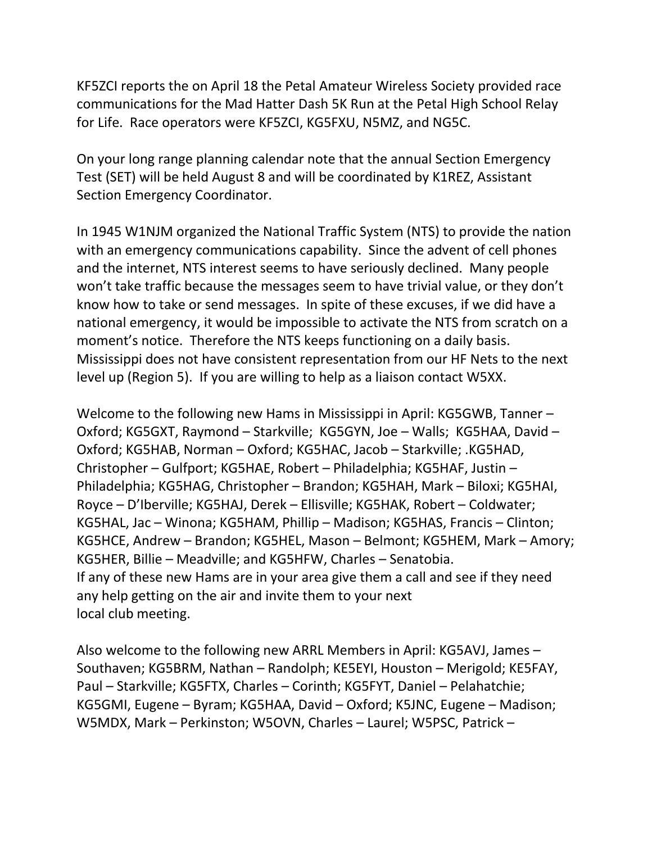KF5ZCI reports the on April 18 the Petal Amateur Wireless Society provided race communications for the Mad Hatter Dash 5K Run at the Petal High School Relay for Life. Race operators were KF5ZCI, KG5FXU, N5MZ, and NG5C.

On your long range planning calendar note that the annual Section Emergency Test (SET) will be held August 8 and will be coordinated by K1REZ, Assistant Section Emergency Coordinator.

In 1945 W1NJM organized the National Traffic System (NTS) to provide the nation with an emergency communications capability. Since the advent of cell phones and the internet, NTS interest seems to have seriously declined. Many people won't take traffic because the messages seem to have trivial value, or they don't know how to take or send messages. In spite of these excuses, if we did have a national emergency, it would be impossible to activate the NTS from scratch on a moment's notice. Therefore the NTS keeps functioning on a daily basis. Mississippi does not have consistent representation from our HF Nets to the next level up (Region 5). If you are willing to help as a liaison contact W5XX.

Welcome to the following new Hams in Mississippi in April: KG5GWB, Tanner – Oxford; KG5GXT, Raymond – Starkville; KG5GYN, Joe – Walls; KG5HAA, David – Oxford; KG5HAB, Norman – Oxford; KG5HAC, Jacob – Starkville; .KG5HAD, Christopher – Gulfport; KG5HAE, Robert – Philadelphia; KG5HAF, Justin – Philadelphia; KG5HAG, Christopher – Brandon; KG5HAH, Mark – Biloxi; KG5HAI, Royce – D'Iberville; KG5HAJ, Derek – Ellisville; KG5HAK, Robert – Coldwater; KG5HAL, Jac – Winona; KG5HAM, Phillip – Madison; KG5HAS, Francis – Clinton; KG5HCE, Andrew – Brandon; KG5HEL, Mason – Belmont; KG5HEM, Mark – Amory; KG5HER, Billie – Meadville; and KG5HFW, Charles – Senatobia. If any of these new Hams are in your area give them a call and see if they need any help getting on the air and invite them to your next local club meeting.

Also welcome to the following new ARRL Members in April: KG5AVJ, James – Southaven; KG5BRM, Nathan – Randolph; KE5EYI, Houston – Merigold; KE5FAY, Paul – Starkville; KG5FTX, Charles – Corinth; KG5FYT, Daniel – Pelahatchie; KG5GMI, Eugene – Byram; KG5HAA, David – Oxford; K5JNC, Eugene – Madison; W5MDX, Mark – Perkinston; W5OVN, Charles – Laurel; W5PSC, Patrick –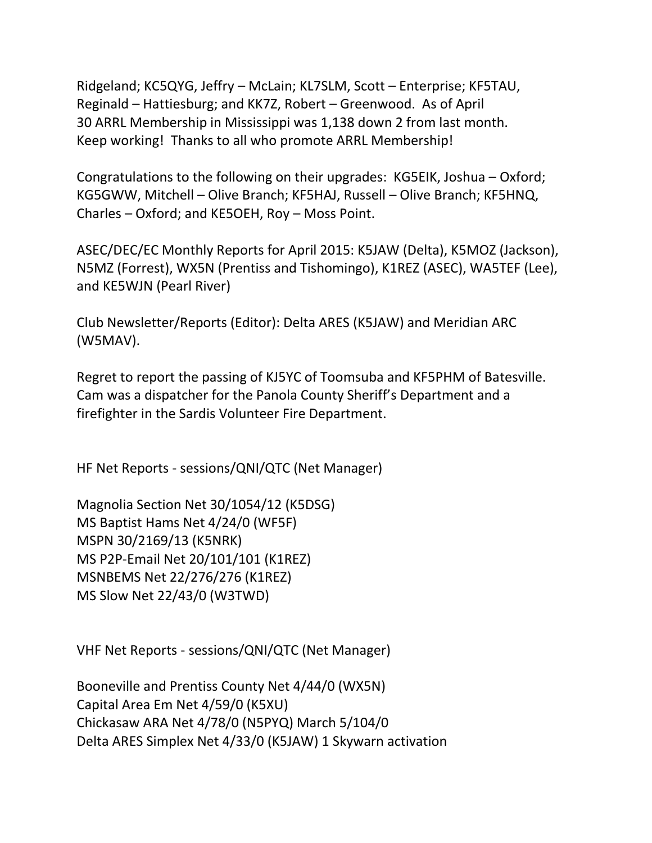Ridgeland; KC5QYG, Jeffry – McLain; KL7SLM, Scott – Enterprise; KF5TAU, Reginald – Hattiesburg; and KK7Z, Robert – Greenwood. As of April 30 ARRL Membership in Mississippi was 1,138 down 2 from last month. Keep working! Thanks to all who promote ARRL Membership!

Congratulations to the following on their upgrades: KG5EIK, Joshua – Oxford; KG5GWW, Mitchell – Olive Branch; KF5HAJ, Russell – Olive Branch; KF5HNQ, Charles – Oxford; and KE5OEH, Roy – Moss Point.

ASEC/DEC/EC Monthly Reports for April 2015: K5JAW (Delta), K5MOZ (Jackson), N5MZ (Forrest), WX5N (Prentiss and Tishomingo), K1REZ (ASEC), WA5TEF (Lee), and KE5WJN (Pearl River)

Club Newsletter/Reports (Editor): Delta ARES (K5JAW) and Meridian ARC (W5MAV).

Regret to report the passing of KJ5YC of Toomsuba and KF5PHM of Batesville. Cam was a dispatcher for the Panola County Sheriff's Department and a firefighter in the Sardis Volunteer Fire Department.

HF Net Reports - sessions/QNI/QTC (Net Manager)

Magnolia Section Net 30/1054/12 (K5DSG) MS Baptist Hams Net 4/24/0 (WF5F) MSPN 30/2169/13 (K5NRK) MS P2P-Email Net 20/101/101 (K1REZ) MSNBEMS Net 22/276/276 (K1REZ) MS Slow Net 22/43/0 (W3TWD)

VHF Net Reports - sessions/QNI/QTC (Net Manager)

Booneville and Prentiss County Net 4/44/0 (WX5N) Capital Area Em Net 4/59/0 (K5XU) Chickasaw ARA Net 4/78/0 (N5PYQ) March 5/104/0 Delta ARES Simplex Net 4/33/0 (K5JAW) 1 Skywarn activation